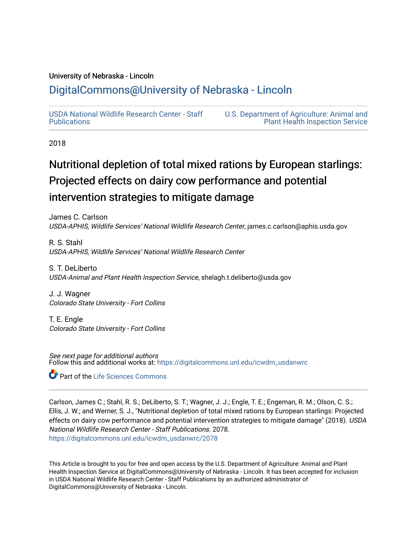### University of Nebraska - Lincoln

# [DigitalCommons@University of Nebraska - Lincoln](https://digitalcommons.unl.edu/)

[USDA National Wildlife Research Center - Staff](https://digitalcommons.unl.edu/icwdm_usdanwrc)  [Publications](https://digitalcommons.unl.edu/icwdm_usdanwrc) 

[U.S. Department of Agriculture: Animal and](https://digitalcommons.unl.edu/usdaaphis)  [Plant Health Inspection Service](https://digitalcommons.unl.edu/usdaaphis) 

2018

# Nutritional depletion of total mixed rations by European starlings: Projected effects on dairy cow performance and potential intervention strategies to mitigate damage

James C. Carlson USDA-APHIS, Wildlife Services' National Wildlife Research Center, james.c.carlson@aphis.usda.gov

R. S. Stahl USDA-APHIS, Wildlife Services' National Wildlife Research Center

S. T. DeLiberto USDA-Animal and Plant Health Inspection Service, shelagh.t.deliberto@usda.gov

J. J. Wagner Colorado State University - Fort Collins

T. E. Engle Colorado State University - Fort Collins

See next page for additional authors Follow this and additional works at: [https://digitalcommons.unl.edu/icwdm\\_usdanwrc](https://digitalcommons.unl.edu/icwdm_usdanwrc?utm_source=digitalcommons.unl.edu%2Ficwdm_usdanwrc%2F2078&utm_medium=PDF&utm_campaign=PDFCoverPages)

**Part of the Life Sciences Commons** 

Carlson, James C.; Stahl, R. S.; DeLiberto, S. T.; Wagner, J. J.; Engle, T. E.; Engeman, R. M.; Olson, C. S.; Ellis, J. W.; and Werner, S. J., "Nutritional depletion of total mixed rations by European starlings: Projected effects on dairy cow performance and potential intervention strategies to mitigate damage" (2018). USDA National Wildlife Research Center - Staff Publications. 2078. [https://digitalcommons.unl.edu/icwdm\\_usdanwrc/2078](https://digitalcommons.unl.edu/icwdm_usdanwrc/2078?utm_source=digitalcommons.unl.edu%2Ficwdm_usdanwrc%2F2078&utm_medium=PDF&utm_campaign=PDFCoverPages) 

This Article is brought to you for free and open access by the U.S. Department of Agriculture: Animal and Plant Health Inspection Service at DigitalCommons@University of Nebraska - Lincoln. It has been accepted for inclusion in USDA National Wildlife Research Center - Staff Publications by an authorized administrator of DigitalCommons@University of Nebraska - Lincoln.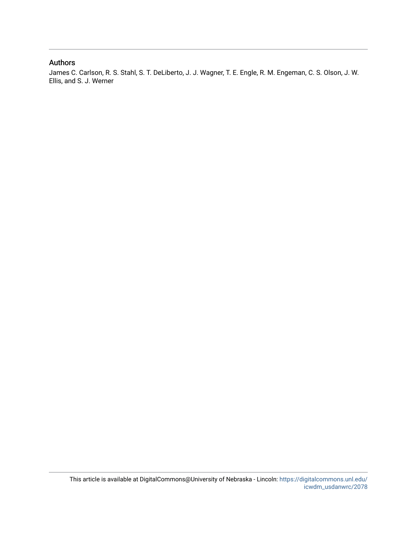#### Authors

James C. Carlson, R. S. Stahl, S. T. DeLiberto, J. J. Wagner, T. E. Engle, R. M. Engeman, C. S. Olson, J. W. Ellis, and S. J. Werner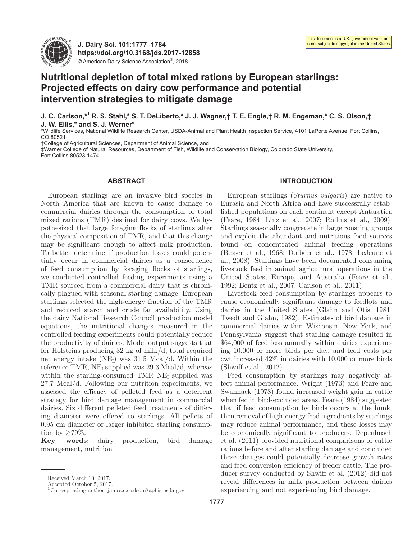

**J. Dairy Sci. 101:1777–1784 https://doi.org/10.3168/jds.2017-12858** © American Dairy Science Association®, 2018.

## **Nutritional depletion of total mixed rations by European starlings: Projected effects on dairy cow performance and potential intervention strategies to mitigate damage**

**J. C. Carlson,\*1 R. S. Stahl,\* S. T. DeLiberto,\* J. J. Wagner,† T. E. Engle,† R. M. Engeman,\* C. S. Olson,‡ J. W. Ellis,\* and S. J. Werner\***

\*Wildlife Services, National Wildlife Research Center, USDA-Animal and Plant Health Inspection Service, 4101 LaPorte Avenue, Fort Collins, CO 80521

†College of Agricultural Sciences, Department of Animal Science, and

‡Warner College of Natural Resources, Department of Fish, Wildlife and Conservation Biology, Colorado State University, Fort Collins 80523-1474

#### **ABSTRACT**

European starlings are an invasive bird species in North America that are known to cause damage to commercial dairies through the consumption of total mixed rations (TMR) destined for dairy cows. We hypothesized that large foraging flocks of starlings alter the physical composition of TMR, and that this change may be significant enough to affect milk production. To better determine if production losses could potentially occur in commercial dairies as a consequence of feed consumption by foraging flocks of starlings, we conducted controlled feeding experiments using a TMR sourced from a commercial dairy that is chronically plagued with seasonal starling damage. European starlings selected the high-energy fraction of the TMR and reduced starch and crude fat availability. Using the dairy National Research Council production model equations, the nutritional changes measured in the controlled feeding experiments could potentially reduce the productivity of dairies. Model output suggests that for Holsteins producing 32 kg of milk/d, total required net energy intake  $(NE_I)$  was 31.5 Mcal/d. Within the reference TMR,  $NE<sub>I</sub>$  supplied was 29.3 Mcal/d, whereas within the starling-consumed TMR  $NE<sub>I</sub>$  supplied was 27.7 Mcal/d. Following our nutrition experiments, we assessed the efficacy of pelleted feed as a deterrent strategy for bird damage management in commercial dairies. Six different pelleted feed treatments of differing diameter were offered to starlings. All pellets of 0.95 cm diameter or larger inhibited starling consumption by  $\geq 79\%$ .

**Key words:** dairy production, bird damage management, nutrition

#### **INTRODUCTION**

European starlings (*Sturnus vulgaris*) are native to Eurasia and North Africa and have successfully established populations on each continent except Antarctica (Feare, 1984; Linz et al., 2007; Rollins et al., 2009). Starlings seasonally congregate in large roosting groups and exploit the abundant and nutritious food sources found on concentrated animal feeding operations (Besser et al., 1968; Dolbeer et al., 1978; LeJeune et al., 2008). Starlings have been documented consuming livestock feed in animal agricultural operations in the United States, Europe, and Australia (Feare et al., 1992; Bentz et al., 2007; Carlson et al., 2011).

Livestock feed consumption by starlings appears to cause economically significant damage to feedlots and dairies in the United States (Glahn and Otis, 1981; Twedt and Glahn, 1982). Estimates of bird damage in commercial dairies within Wisconsin, New York, and Pennsylvania suggest that starling damage resulted in \$64,000 of feed loss annually within dairies experiencing 10,000 or more birds per day, and feed costs per cwt increased 42% in dairies with 10,000 or more birds (Shwiff et al., 2012).

Feed consumption by starlings may negatively affect animal performance. Wright (1973) and Feare and Swannack (1978) found increased weight gain in cattle when fed in bird-excluded areas. Feare (1984) suggested that if feed consumption by birds occurs at the bunk, then removal of high-energy feed ingredients by starlings may reduce animal performance, and these losses may be economically significant to producers. Depenbusch et al. (2011) provided nutritional comparisons of cattle rations before and after starling damage and concluded these changes could potentially decrease growth rates and feed conversion efficiency of feeder cattle. The producer survey conducted by Shwiff et al. (2012) did not reveal differences in milk production between dairies experiencing and not experiencing bird damage.

Received March 10, 2017.

Accepted October 5, 2017.

**<sup>1</sup>**Corresponding author: james.c.carlson@aphis.usda.gov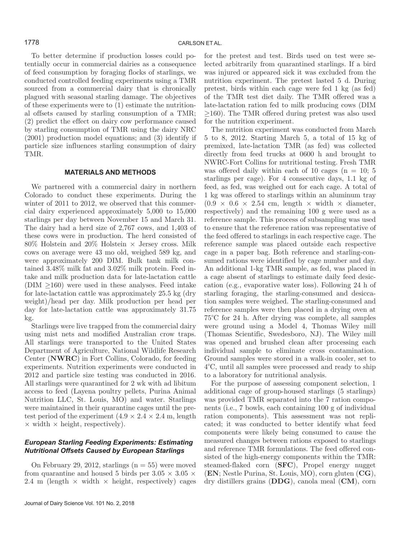To better determine if production losses could potentially occur in commercial dairies as a consequence of feed consumption by foraging flocks of starlings, we conducted controlled feeding experiments using a TMR sourced from a commercial dairy that is chronically plagued with seasonal starling damage. The objectives of these experiments were to (1) estimate the nutritional offsets caused by starling consumption of a TMR; (2) predict the effect on dairy cow performance caused by starling consumption of TMR using the dairy NRC (2001) production model equations; and (3) identify if particle size influences starling consumption of dairy TMR.

#### **MATERIALS AND METHODS**

We partnered with a commercial dairy in northern Colorado to conduct these experiments. During the winter of 2011 to 2012, we observed that this commercial dairy experienced approximately 5,000 to 15,000 starlings per day between November 15 and March 31. The dairy had a herd size of 2,767 cows, and 1,403 of these cows were in production. The herd consisted of  $80\%$  Holstein and  $20\%$  Holstein  $\times$  Jersey cross. Milk cows on average were 43 mo old, weighed 589 kg, and were approximately 200 DIM. Bulk tank milk contained 3.48% milk fat and 3.02% milk protein. Feed intake and milk production data for late-lactation cattle  $(DIM \geq 160)$  were used in these analyses. Feed intake for late-lactation cattle was approximately 25.5 kg (dry weight)/head per day. Milk production per head per day for late-lactation cattle was approximately 31.75 kg.

Starlings were live trapped from the commercial dairy using mist nets and modified Australian crow traps. All starlings were transported to the United States Department of Agriculture, National Wildlife Research Center (**NWRC**) in Fort Collins, Colorado, for feeding experiments. Nutrition experiments were conducted in 2012 and particle size testing was conducted in 2016. All starlings were quarantined for 2 wk with ad libitum access to feed (Layena poultry pellets, Purina Animal Nutrition LLC, St. Louis, MO) and water. Starlings were maintained in their quarantine cages until the pretest period of the experiment  $(4.9 \times 2.4 \times 2.4 \text{ m})$ , length  $\times$  width  $\times$  height, respectively).

#### *European Starling Feeding Experiments: Estimating Nutritional Offsets Caused by European Starlings*

On February 29, 2012, starlings  $(n = 55)$  were moved from quarantine and housed 5 birds per  $3.05 \times 3.05 \times$ 2.4 m (length  $\times$  width  $\times$  height, respectively) cages for the pretest and test. Birds used on test were selected arbitrarily from quarantined starlings. If a bird was injured or appeared sick it was excluded from the nutrition experiment. The pretest lasted 5 d. During pretest, birds within each cage were fed 1 kg (as fed) of the TMR test diet daily. The TMR offered was a late-lactation ration fed to milk producing cows (DIM ≥160). The TMR offered during pretest was also used for the nutrition experiment.

The nutrition experiment was conducted from March 5 to 8, 2012. Starting March 5, a total of 15 kg of premixed, late-lactation TMR (as fed) was collected directly from feed trucks at 0600 h and brought to NWRC-Fort Collins for nutritional testing. Fresh TMR was offered daily within each of 10 cages ( $n = 10$ ; 5 starlings per cage). For 4 consecutive days, 1.1 kg of feed, as fed, was weighed out for each cage. A total of 1 kg was offered to starlings within an aluminum tray  $(0.9 \times 0.6 \times 2.54$  cm, length  $\times$  width  $\times$  diameter, respectively) and the remaining 100 g were used as a reference sample. This process of subsampling was used to ensure that the reference ration was representative of the feed offered to starlings in each respective cage. The reference sample was placed outside each respective cage in a paper bag. Both reference and starling-consumed rations were identified by cage number and day. An additional 1-kg TMR sample, as fed, was placed in a cage absent of starlings to estimate daily feed desiccation (e.g., evaporative water loss). Following 24 h of starling foraging, the starling-consumed and desiccation samples were weighed. The starling-consumed and reference samples were then placed in a drying oven at 75°C for 24 h. After drying was complete, all samples were ground using a Model 4, Thomas Wiley mill (Thomas Scientific, Swedesboro, NJ). The Wiley mill was opened and brushed clean after processing each individual sample to eliminate cross contamination. Ground samples were stored in a walk-in cooler, set to 4°C, until all samples were processed and ready to ship to a laboratory for nutritional analysis.

For the purpose of assessing component selection, 1 additional cage of group-housed starlings (5 starlings) was provided TMR separated into the 7 ration components (i.e., 7 bowls, each containing 100 g of individual ration components). This assessment was not replicated; it was conducted to better identify what feed components were likely being consumed to cause the measured changes between rations exposed to starlings and reference TMR formulations. The feed offered consisted of the high-energy components within the TMR: steamed-flaked corn (**SFC**), Propel energy nugget (**EN**; Nestle Purina, St. Louis, MO), corn gluten (**CG**), dry distillers grains (**DDG**), canola meal (**CM**), corn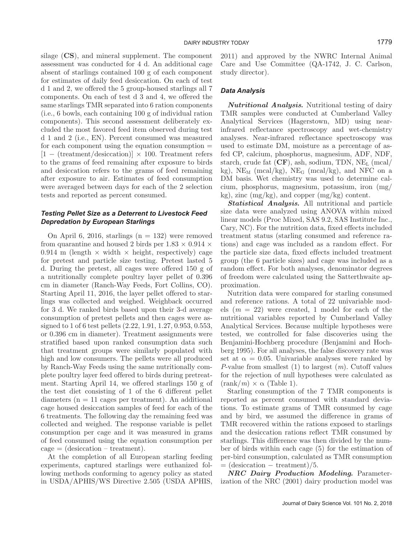silage (**CS**), and mineral supplement. The component assessment was conducted for 4 d. An additional cage absent of starlings contained 100 g of each component for estimates of daily feed desiccation. On each of test d 1 and 2, we offered the 5 group-housed starlings all 7 components. On each of test d 3 and 4, we offered the same starlings TMR separated into 6 ration components (i.e., 6 bowls, each containing 100 g of individual ration components). This second assessment deliberately excluded the most favored feed item observed during test d 1 and 2 (i.e., EN). Percent consumed was measured for each component using the equation consumption  $=$  $[1 - (treatment/desiccation)] \times 100$ . Treatment refers to the grams of feed remaining after exposure to birds and desiccation refers to the grams of feed remaining after exposure to air. Estimates of feed consumption were averaged between days for each of the 2 selection tests and reported as percent consumed.

#### *Testing Pellet Size as a Deterrent to Livestock Feed Depredation by European Starlings*

On April 6, 2016, starlings  $(n = 132)$  were removed from quarantine and housed 2 birds per  $1.83 \times 0.914 \times$ 0.914 m (length  $\times$  width  $\times$  height, respectively) cage for pretest and particle size testing. Pretest lasted 5 d. During the pretest, all cages were offered 150 g of a nutritionally complete poultry layer pellet of 0.396 cm in diameter (Ranch-Way Feeds, Fort Collins, CO). Starting April 11, 2016, the layer pellet offered to starlings was collected and weighed. Weighback occurred for 3 d. We ranked birds based upon their 3-d average consumption of pretest pellets and then cages were assigned to 1 of 6 test pellets (2.22, 1.91, 1.27, 0.953, 0.553, or 0.396 cm in diameter). Treatment assignments were stratified based upon ranked consumption data such that treatment groups were similarly populated with high and low consumers. The pellets were all produced by Ranch-Way Feeds using the same nutritionally complete poultry layer feed offered to birds during pretreatment. Starting April 14, we offered starlings 150 g of the test diet consisting of 1 of the 6 different pellet diameters  $(n = 11 \text{ cages per treatment})$ . An additional cage housed desiccation samples of feed for each of the 6 treatments. The following day the remaining feed was collected and weighed. The response variable is pellet consumption per cage and it was measured in grams of feed consumed using the equation consumption per  $cage = (desiccation - treatment).$ 

At the completion of all European starling feeding experiments, captured starlings were euthanized following methods conforming to agency policy as stated in USDA/APHIS/WS Directive 2.505 (USDA APHIS, 2011) and approved by the NWRC Internal Animal Care and Use Committee (QA-1742, J. C. Carlson, study director).

#### *Data Analysis*

*Nutritional Analysis.* Nutritional testing of dairy TMR samples were conducted at Cumberland Valley Analytical Services (Hagerstown, MD) using nearinfrared reflectance spectroscopy and wet-chemistry analyses. Near-infrared reflectance spectroscopy was used to estimate DM, moisture as a percentage of asfed CP, calcium, phosphorus, magnesium, ADF, NDF, starch, crude fat  $(CF)$ , ash, sodium, TDN, NE<sub>L</sub> (mcal/ kg),  $NE_M$  (mcal/kg),  $NE_G$  (mcal/kg), and NFC on a DM basis. Wet chemistry was used to determine calcium, phosphorus, magnesium, potassium, iron (mg/ kg), zinc (mg/kg), and copper (mg/kg) content.

*Statistical Analysis.* All nutritional and particle size data were analyzed using ANOVA within mixed linear models (Proc Mixed, SAS 9.2, SAS Institute Inc., Cary, NC). For the nutrition data, fixed effects included treatment status (starling consumed and reference rations) and cage was included as a random effect. For the particle size data, fixed effects included treatment group (the 6 particle sizes) and cage was included as a random effect. For both analyses, denominator degrees of freedom were calculated using the Satterthwaite approximation.

Nutrition data were compared for starling consumed and reference rations. A total of 22 univariable models  $(m = 22)$  were created, 1 model for each of the nutritional variables reported by Cumberland Valley Analytical Services. Because multiple hypotheses were tested, we controlled for false discoveries using the Benjamini-Hochberg procedure (Benjamini and Hochberg 1995). For all analyses, the false discovery rate was set at  $\alpha = 0.05$ . Univariable analyses were ranked by *P*-value from smallest (1) to largest (*m*). Cutoff values for the rejection of null hypotheses were calculated as  $(\text{rank}/m) \times \alpha$  (Table 1).

Starling consumption of the 7 TMR components is reported as percent consumed with standard deviations. To estimate grams of TMR consumed by cage and by bird, we assumed the difference in grams of TMR recovered within the rations exposed to starlings and the desiccation rations reflect TMR consumed by starlings. This difference was then divided by the number of birds within each cage (5) for the estimation of per-bird consumption, calculated as TMR consumption  $=$  (desiccation – treatment)/5.

*NRC Dairy Production Modeling.* Parameterization of the NRC (2001) dairy production model was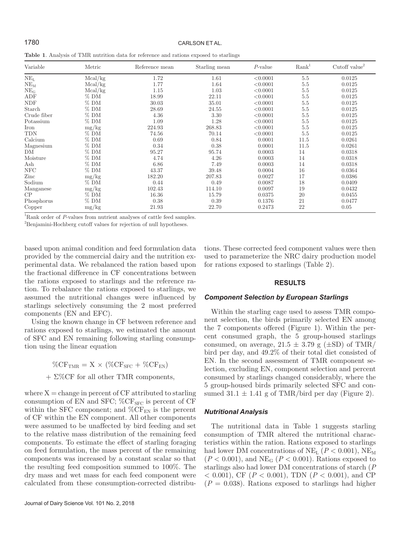#### 1780 CARLSON ET AL.

**Table 1**. Analysis of TMR nutrition data for reference and rations exposed to starlings

| Variable        | Metric  | Reference mean | $\operatorname{Starling}$ mean | $P$ -value | Rank <sup>1</sup> | Cutoff value <sup>2</sup> |
|-----------------|---------|----------------|--------------------------------|------------|-------------------|---------------------------|
| NE <sub>L</sub> | Mcal/kg | 1.72           | 1.61                           | < 0.0001   | 5.5               | 0.0125                    |
| $NE_{M}$        | Mcal/kg | 1.77           | 1.64                           | < 0.0001   | 5.5               | 0.0125                    |
| $NE_G$          | Mcal/kg | 1.15           | 1.03                           | < 0.0001   | 5.5               | 0.0125                    |
| ADF             | $%$ DM  | 18.99          | 22.11                          | < 0.0001   | 5.5               | 0.0125                    |
| <b>NDF</b>      | $%$ DM  | 30.03          | 35.01                          | < 0.0001   | 5.5               | 0.0125                    |
| Starch          | $%$ DM  | 28.69          | 24.55                          | < 0.0001   | 5.5               | 0.0125                    |
| Crude fiber     | $%$ DM  | 4.36           | 3.30                           | < 0.0001   | 5.5               | 0.0125                    |
| Potassium       | $%$ DM  | 1.09           | 1.28                           | < 0.0001   | 5.5               | 0.0125                    |
| Iron            | mg/kg   | 224.93         | 268.83                         | < 0.0001   | 5.5               | 0.0125                    |
| <b>TDN</b>      | $%$ DM  | 74.56          | 70.14                          | < 0.0001   | 5.5               | 0.0125                    |
| Calcium         | $%$ DM  | 0.69           | 0.84                           | 0.0001     | 11.5              | 0.0261                    |
| Magnesium       | $%$ DM  | 0.34           | 0.38                           | 0.0001     | 11.5              | 0.0261                    |
| DM              | $%$ DM  | 95.27          | 95.74                          | 0.0003     | 14                | 0.0318                    |
| Moisture        | $%$ DM  | 4.74           | 4.26                           | 0.0003     | 14                | 0.0318                    |
| Ash             | $%$ DM  | 6.86           | 7.49                           | 0.0003     | 14                | 0.0318                    |
| $_{\rm NFC}$    | $%$ DM  | 43.37          | 39.48                          | 0.0004     | 16                | 0.0364                    |
| Zinc            | mg/kg   | 182.20         | 207.83                         | 0.0027     | 17                | 0.0386                    |
| Sodium          | $%$ DM  | 0.44           | 0.49                           | 0.0087     | 18                | 0.0409                    |
| Manganese       | mg/kg   | 102.43         | 114.10                         | 0.0097     | 19                | 0.0432                    |
| CP              | $%$ DM  | 16.36          | 15.79                          | 0.0375     | 20                | 0.0455                    |
| Phosphorus      | $%$ DM  | 0.38           | 0.39                           | 0.1376     | 21                | 0.0477                    |
| Copper          | mg/kg   | 21.93          | 22.70                          | 0.2473     | 22                | 0.05                      |

<sup>1</sup>Rank order of *P*-values from nutrient analyses of cattle feed samples.

2 Benjamini-Hochberg cutoff values for rejection of null hypotheses.

based upon animal condition and feed formulation data provided by the commercial dairy and the nutrition experimental data. We rebalanced the ration based upon the fractional difference in CF concentrations between the rations exposed to starlings and the reference ration. To rebalance the rations exposed to starlings, we assumed the nutritional changes were influenced by starlings selectively consuming the 2 most preferred components (EN and EFC).

Using the known change in CF between reference and rations exposed to starlings, we estimated the amount of SFC and EN remaining following starling consumption using the linear equation

> $\%CF_{TMR} = X \times (\%CF_{SFC} + \%CF_{EN})$  $+ \Sigma \%$ CF for all other TMR components,

where  $X =$  change in percent of CF attributed to starling consumption of EN and SFC;  $\%CF_{SFC}$  is percent of CF within the SFC component; and  $\%CF_{EN}$  is the percent of CF within the EN component. All other components were assumed to be unaffected by bird feeding and set to the relative mass distribution of the remaining feed components. To estimate the effect of starling foraging on feed formulation, the mass percent of the remaining components was increased by a constant scalar so that the resulting feed composition summed to 100%. The dry mass and wet mass for each feed component were calculated from these consumption-corrected distributions. These corrected feed component values were then used to parameterize the NRC dairy production model for rations exposed to starlings (Table 2).

#### **RESULTS**

#### *Component Selection by European Starlings*

Within the starling cage used to assess TMR component selection, the birds primarily selected EN among the 7 components offered (Figure 1). Within the percent consumed graph, the 5 group-housed starlings consumed, on average,  $21.5 \pm 3.79$  g ( $\pm$ SD) of TMR/ bird per day, and 49.2% of their total diet consisted of EN. In the second assessment of TMR component selection, excluding EN, component selection and percent consumed by starlings changed considerably, where the 5 group-housed birds primarily selected SFC and consumed  $31.1 \pm 1.41$  g of TMR/bird per day (Figure 2).

#### *Nutritional Analysis*

The nutritional data in Table 1 suggests starling consumption of TMR altered the nutritional characteristics within the ration. Rations exposed to starlings had lower DM concentrations of NE<sub>L</sub>  $(P < 0.001)$ , NE<sub>M</sub>  $(P < 0.001)$ , and NE<sub>G</sub>  $(P < 0.001)$ . Rations exposed to starlings also had lower DM concentrations of starch (*P* < 0.001), CF (*P* < 0.001), TDN (*P* < 0.001), and CP  $(P = 0.038)$ . Rations exposed to starlings had higher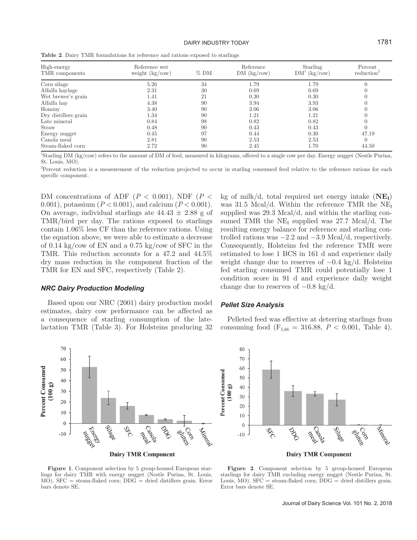| High-energy<br>TMR components | Reference wet<br>weight $\frac{kg}{cow}$ | $%$ DM | Reference<br>DM (kg/cow) | Starling<br>$DM^1$ (kg/cow) | Percent<br>reduction <sup>2</sup> |
|-------------------------------|------------------------------------------|--------|--------------------------|-----------------------------|-----------------------------------|
| Corn silage                   | 5.26                                     | 34     | 1.79                     | 1.79                        |                                   |
| Alfalfa haylage               | 2.31                                     | 30     | 0.69                     | 0.69                        |                                   |
| Wet brewer's grain            | 1.41                                     | 21     | 0.30                     | 0.30                        |                                   |
| Alfalfa hay                   | 4.38                                     | 90     | 3.94                     | 3.93                        |                                   |
| Hominy                        | 3.40                                     | 90     | 3.06                     | 3.06                        |                                   |
| Dry distillers grain          | 1.34                                     | -90    | 1.21                     | 1.21                        |                                   |
| Late mineral                  | 0.84                                     | 98     | 0.82                     | 0.82                        |                                   |
| Straw                         | 0.48                                     | 90     | 0.43                     | 0.43                        |                                   |
| Energy nugget                 | 0.45                                     | 97     | 0.44                     | 0.30                        | 47.19                             |
| Canola meal                   | 2.81                                     | 90     | 2.53                     | 2.53                        |                                   |
| Steam-flaked corn             | 2.72                                     | 90     | 2.45                     | 1.70                        | 44.50                             |

**Table 2**. Dairy TMR formulations for reference and rations exposed to starlings

1 Starling DM (kg/cow) refers to the amount of DM of feed, measured in kilograms, offered to a single cow per day. Energy nugget (Nestle Purina, St. Louis, MO).

2 Percent reduction is a measurement of the reduction projected to occur in starling consumed feed relative to the reference rations for each specific component.

DM concentrations of ADF ( $P < 0.001$ ), NDF ( $P <$ 0.001), potassium (*P* < 0.001), and calcium (*P* < 0.001). On average, individual starlings ate  $44.43 \pm 2.88$  g of TMR/bird per day. The rations exposed to starlings contain 1.06% less CF than the reference rations. Using the equation above, we were able to estimate a decrease of 0.14 kg/cow of EN and a 0.75 kg/cow of SFC in the TMR. This reduction accounts for a 47.2 and 44.5% dry mass reduction in the component fraction of the TMR for EN and SFC, respectively (Table 2).

#### *NRC Dairy Production Modeling*

Based upon our NRC (2001) dairy production model estimates, dairy cow performance can be affected as a consequence of starling consumption of the latelactation TMR (Table 3). For Holsteins producing 32

kg of milk/d, total required net energy intake  $(NE_I)$ was 31.5 Mcal/d. Within the reference TMR the  $NE<sub>I</sub>$ supplied was 29.3 Mcal/d, and within the starling consumed TMR the  $NE<sub>I</sub>$  supplied was 27.7 Mcal/d. The resulting energy balance for reference and starling controlled rations was  $-2.2$  and  $-3.9$  Mcal/d, respectively. Consequently, Holsteins fed the reference TMR were estimated to lose 1 BCS in 161 d and experience daily weight change due to reserves of  $-0.4 \text{ kg/d}$ . Holsteins fed starling consumed TMR could potentially lose 1 condition score in 91 d and experience daily weight change due to reserves of  $-0.8 \text{ kg/d}$ .

#### *Pellet Size Analysis*

Pelleted feed was effective at deterring starlings from consuming food ( $F_{5,66} = 316.88, P < 0.001,$  Table 4).





**Figure 1**. Component selection by 5 group-housed European starlings for dairy TMR with energy nugget (Nestle Purina, St. Louis, MO). SFC = steam-flaked corn; DDG = dried distillers grain. Error bars denote SE.

**Figure 2**. Component selection by 5 group-housed European starlings for dairy TMR excluding energy nugget (Nestle Purina, St. Louis,  $MO$ ). SFC = steam-flaked corn;  $DDG =$  dried distillers grain. Error bars denote SE.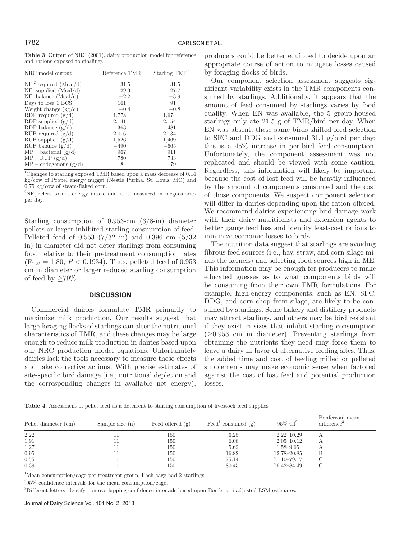**Table 3**. Output of NRC (2001), dairy production model for reference and rations exposed to starlings

| NRC model output               | Reference TMR | Starling $TMR^1$ |
|--------------------------------|---------------|------------------|
| $NE_{I}^{2}$ required (Mcal/d) | 31.5          | 31.5             |
| $NE_{I}$ supplied $(Mcal/d)$   | 29.3          | 27.7             |
| $NE_{I}$ balance $(Mcal/d)$    | $-2.2$        | $-3.9$           |
| Days to lose 1 BCS             | 161           | 91               |
| Weight change $(kg/d)$         | $-0.4$        | $-0.8$           |
| RDP required $(g/d)$           | 1,778         | 1,674            |
| RDP supplied $(g/d)$           | 2,141         | 2,154            |
| RDP balance $(g/d)$            | 363           | 481              |
| RUP required $(g/d)$           | 2,016         | 2,134            |
| RUP supplied $(g/d)$           | 1,526         | 1,469            |
| RUP balance $(g/d)$            | $-490$        | $-665$           |
| $MP - bacterial (g/d)$         | 967           | 911              |
| $MP - RUP (g/d)$               | 780           | 733              |
| $MP$ – endogenous $(g/d)$      | 84            | 79               |

<sup>1</sup>Changes to starling exposed TMR based upon a mass decrease of 0.14 kg/cow of Propel energy nugget (Nestle Purina, St. Louis, MO) and 0.75 kg/cow of steam-flaked corn.

 ${}^{2}\text{NE}_{\text{I}}$  refers to net energy intake and it is measured in megacalories per day.

Starling consumption of 0.953-cm (3/8-in) diameter pellets or larger inhibited starling consumption of feed. Pelleted feed of 0.553 (7/32 in) and 0.396 cm (5/32 in) in diameter did not deter starlings from consuming food relative to their pretreatment consumption rates  $(F_{1,22} = 1.80, P < 0.1934)$ . Thus, pelleted feed of 0.953 cm in diameter or larger reduced starling consumption of feed by  $\geq 79\%$ .

#### **DISCUSSION**

Commercial dairies formulate TMR primarily to maximize milk production. Our results suggest that large foraging flocks of starlings can alter the nutritional characteristics of TMR, and these changes may be large enough to reduce milk production in dairies based upon our NRC production model equations. Unfortunately dairies lack the tools necessary to measure these effects and take corrective actions. With precise estimates of site-specific bird damage (i.e., nutritional depletion and the corresponding changes in available net energy),

producers could be better equipped to decide upon an appropriate course of action to mitigate losses caused by foraging flocks of birds.

Our component selection assessment suggests significant variability exists in the TMR components consumed by starlings. Additionally, it appears that the amount of feed consumed by starlings varies by food quality. When EN was available, the 5 group-housed starlings only ate 21.5 g of TMR/bird per day. When EN was absent, these same birds shifted feed selection to SFC and DDG and consumed 31.1 g/bird per day; this is a 45% increase in per-bird feed consumption. Unfortunately, the component assessment was not replicated and should be viewed with some caution. Regardless, this information will likely be important because the cost of lost feed will be heavily influenced by the amount of components consumed and the cost of those components. We suspect component selection will differ in dairies depending upon the ration offered. We recommend dairies experiencing bird damage work with their dairy nutritionists and extension agents to better gauge feed loss and identify least-cost rations to minimize economic losses to birds.

The nutrition data suggest that starlings are avoiding fibrous feed sources (i.e., hay, straw, and corn silage minus the kernels) and selecting food sources high in ME. This information may be enough for producers to make educated guesses as to what components birds will be consuming from their own TMR formulations. For example, high-energy components, such as EN, SFC, DDG, and corn chop from silage, are likely to be consumed by starlings. Some bakery and distillery products may attract starlings, and others may be bird resistant if they exist in sizes that inhibit starling consumption  $(\geq 0.953$  cm in diameter). Preventing starlings from obtaining the nutrients they need may force them to leave a dairy in favor of alternative feeding sites. Thus, the added time and cost of feeding milled or pelleted supplements may make economic sense when factored against the cost of lost feed and potential production losses.

**Table 4**. Assessment of pellet feed as a deterrent to starling consumption of livestock feed supplies

| Pellet diameter (cm) | Sample size $(n)$ | Feed offered $(g)$ | Feed consumed $(g)$ | $95\%$ $CI^2$   | Bonferroni mean<br>difference <sup>3</sup> |
|----------------------|-------------------|--------------------|---------------------|-----------------|--------------------------------------------|
| 2.22                 |                   | 150                | 6.25                | $2.22 - 10.29$  |                                            |
| 1.91                 |                   | 150                | 6.08                | $2.05 - 10.12$  |                                            |
| 1.27                 |                   | 150                | 5.62                | $1.58 - 9.65$   |                                            |
| 0.95                 |                   | 150                | 16.82               | $12.78 - 20.85$ | В                                          |
| 0.55                 |                   | 150                | 75.14               | $71.10 - 79.17$ |                                            |
| 0.39                 |                   | 150                | 80.45               | 76.42–84.49     |                                            |

<sup>1</sup>Mean consumption/cage per treatment group. Each cage had 2 starlings.

 $295\%$  confidence intervals for the mean consumption/cage.

3 Different letters identify non-overlapping confidence intervals based upon Bonferroni-adjusted LSM estimates.

Journal of Dairy Science Vol. 101 No. 2, 2018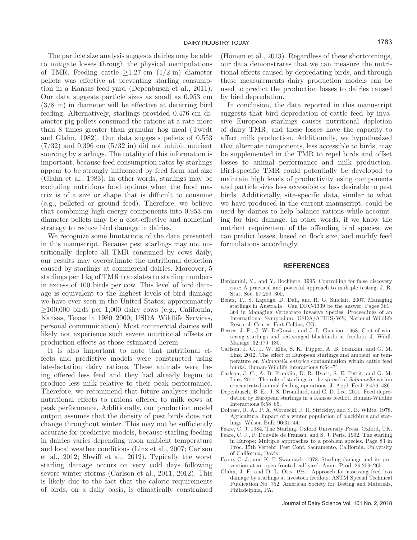The particle size analysis suggests dairies may be able to mitigate losses through the physical manipulations of TMR. Feeding cattle  $\geq$ 1.27-cm (1/2-in) diameter pellets was effective at preventing starling consumption in a Kansas feed yard (Depenbusch et al., 2011). Our data suggests particle sizes as small as 0.953 cm (3/8 in) in diameter will be effective at deterring bird feeding. Alternatively, starlings provided 0.476-cm diameter pig pellets consumed the rations at a rate more than 8 times greater than granular hog meal (Twedt and Glahn, 1982). Our data suggests pellets of 0.553  $(7/32)$  and 0.396 cm  $(5/32)$  in did not inhibit nutrient sourcing by starlings. The totality of this information is important, because feed consumption rates by starlings appear to be strongly influenced by feed form and size (Glahn et al., 1983). In other words, starlings may be excluding nutritious food options when the food matrix is of a size or shape that is difficult to consume (e.g., pelleted or ground feed). Therefore, we believe that combining high-energy components into 0.953-cm diameter pellets may be a cost-effective and nonlethal strategy to reduce bird damage in dairies.

We recognize some limitations of the data presented in this manuscript. Because pest starlings may not nutritionally deplete all TMR consumed by cows daily, our results may overestimate the nutritional depletion caused by starlings at commercial dairies. Moreover, 5 starlings per 1 kg of TMR translates to starling numbers in excess of 100 birds per cow. This level of bird damage is equivalent to the highest levels of bird damage we have ever seen in the United States; approximately ≥100,000 birds per 1,000 dairy cows (e.g., California, Kansas, Texas in 1980–2000; USDA Wildlife Services, personal communication). Most commercial dairies will likely not experience such severe nutritional offsets or production effects as those estimated herein.

It is also important to note that nutritional effects and predictive models were constructed using late-lactation dairy rations. These animals were being offered less feed and they had already begun to produce less milk relative to their peak performance. Therefore, we recommend that future analyses include nutritional effects to rations offered to milk cows at peak performance. Additionally, our production model output assumes that the density of pest birds does not change throughout winter. This may not be sufficiently accurate for predictive models, because starling feeding in dairies varies depending upon ambient temperature and local weather conditions (Linz et al., 2007; Carlson et al., 2012; Shwiff et al., 2012). Typically the worst starling damage occurs on very cold days following severe winter storms (Carlson et al., 2011, 2012). This is likely due to the fact that the caloric requirements of birds, on a daily basis, is climatically constrained (Homan et al., 2013). Regardless of these shortcomings, our data demonstrates that we can measure the nutritional effects caused by depredating birds, and through these measurements dairy production models can be used to predict the production losses to dairies caused by bird depredation.

In conclusion, the data reported in this manuscript suggests that bird depredation of cattle feed by invasive European starlings causes nutritional depletion of dairy TMR, and these losses have the capacity to affect milk production. Additionally, we hypothesized that alternate components, less accessible to birds, may be supplemented in the TMR to repel birds and offset losses to animal performance and milk production. Bird-specific TMR could potentially be developed to maintain high levels of productivity using components and particle sizes less accessible or less desirable to pest birds. Additionally, site-specific data, similar to what we have produced in the current manuscript, could be used by dairies to help balance rations while accounting for bird damage. In other words, if we know the nutrient requirement of the offending bird species, we can predict losses, based on flock size, and modify feed formulations accordingly.

#### **REFERENCES**

- Benjamini, Y., and Y. Hochberg. 1995. Controlling for false discovery rate: A practical and powerful approach to multiple testing. J. R. Stat. Soc. 57:289–300.
- Bentz, T., S. Lapidge, D. Dall, and R. G. Sinclair. 2007. Managing starlings in Australia—Can DRC-1339 be the answer. Pages 361– 364 in Managing Vertebrate Invasive Species: Proceedings of an International Symposium. USDA/APHIS/WS, National Wildlife Research Center, Fort Collins, CO.
- Besser, J. F., J. W. DeGrazio, and J. L. Guarino. 1968. Cost of wintering starlings and red-winged blackbirds at feedlots. J. Wildl. Manage. 32:179–180.
- Carlson, J. C., J. W. Ellis, S. K. Tupper, A. B. Franklin, and G. M. Linz. 2012. The effect of European starlings and ambient air temperature on *Salmonella enterica* contamination within cattle feed bunks. Human-Wildlife Interactions 6:64–71.
- Carlson, J. C., A. B. Franklin, D. R. Hyatt, S. E. Pettit, and G. M. Linz. 2011. The role of starlings in the spread of *Salmonella* within concentrated animal feeding operations. J. Appl. Ecol. 2:479–486.
- Depenbusch, B. E., J. S. Drouillard, and C. D. Lee. 2011. Feed depredation by European starlings in a Kansas feedlot. Human-Wildlife Interactions 5:58–65.
- Dolbeer, R. A., P. A. Wornecki, J. R. Strickley, and S. B. White. 1978. Agricultural impact of a winter population of blackbirds and starlings. Wilson Bull. 90:31–44.
- Feare, C. J. 1984. The Starling. Oxford University Press, Oxford, UK.
- Feare, C. J., P. Douville de Franssu, and S. J. Peris. 1992. The starling in Europe: Multiple approaches to a problem species. Page 83 in Proc. 15th Vertebr. Pest Conf. Sacramento, California. University of California, Davis
- Feare, C. J., and K. P. Swannack. 1978. Starling damage and its prevention at an open-fronted calf yard. Anim. Prod. 26:259–265.
- Glahn, J. F. and D. L. Otis. 1981. Approach for assessing feed loss damage by starlings at livestock feedlots. ASTM Special Technical Publication No. 752. American Society for Testing and Materials, Philadelphia, PA.